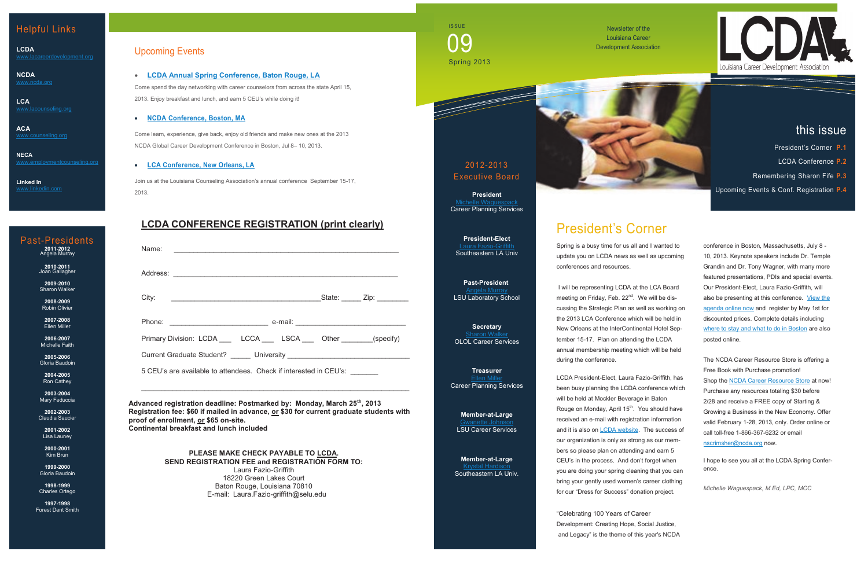### Upcoming Events

 **[LCDA Annual Spring Conference, Baton Rouge, LA](http://www.lacareerdevelopment.org/conference-2013.html)** Come spend the day networking with career counselors from across the state April 15, 2013. Enjoy breakfast and lunch, and earn 5 CEU's while doing it!

#### **[NCDA Conference, Boston, MA](http://associationdatabase.com/aws/NCDA/pt/sp/conference_info)**

Come learn, experience, give back, enjoy old friends and make new ones at the 2013 NCDA Global Career Development Conference in Boston, Jul 8– 10, 2013.

### **[LCA Conference, New](http://www.lacounseling.org/index.php?option=com_content&view=article&id=682&Itemid=244) Orleans, LA**

Join us at the Louisiana Counseling Association's annual conference September 15-17, 2013.

Newsletter of the Louisiana Career Development Association

### Helpful Links

**LCDA**

**NCDA** [www.ncda.org](http://www.ncda.org)

**LCA**

**ACA** [www.counseling.org](http://www.counseling.org)

**NECA** [www.employmentcounseling.org](http://www.employmentcounseling.org)

**Linked In**

2012-2013 Executive Board

**President** [Michelle Waguespack](mailto:michelle@careerplanningservices2.com)

Career Planning Services





this issue

**President-Elect** [Laura Fazio](mailto:laura.fazio-griffith@selu.edu)-Griffith Southeastern LA Univ

**Past-President** [Angela Murray](mailto:amurray@lsu.edu) LSU Laboratory School

**Secretary [Sharon Walker](mailto:Sharon.Walker@ololcollege.edu)** OLOL Career Services

**Treasurer [Ellen Miller](mailto:ellen@careerplanningservices2.com)** Career Planning Services

**Member-at-Large**  [Gwanette Johnson](mailto:gjohnso3@lsu.edu) LSU Career Services

**Member-at-Large** [Krystal Hardison](mailto:khardison@selu.edu) Southeastern LA Univ.

# President's Corner

Spring is a busy time for us all and I wanted to update you on LCDA news as well as upcoming conferences and resources.

I will be representing LCDA at the LCA Board meeting on Friday, Feb. 22<sup>nd</sup>. We will be discussing the Strategic Plan as well as working on the 2013 LCA Conference which will be held in New Orleans at the InterContinental Hotel September 15-17. Plan on attending the LCDA annual membership meeting which will be held during the conference.

LCDA President-Elect, Laura Fazio-Griffith, has been busy planning the LCDA conference which will be held at Mockler Beverage in Baton Rouge on Monday, April 15<sup>th</sup>. You should have received an e-mail with registration information and it is also on **LCDA** website. The success of our organization is only as strong as our members so please plan on attending and earn 5 CEU's in the process. And don't forget when you are doing your spring cleaning that you can bring your gently used women's career clothing for our "Dress for Success" donation project.

**2009-2010 Sharon Walker** 

> "Celebrating 100 Years of Career Development: Creating Hope, Social Justice, and Legacy" is the theme of this year's NCDA

**2003-2004** Mary Feduccia conference in Boston, Massachusetts, July 8 - 10, 2013. Keynote speakers include Dr. Temple Grandin and Dr. Tony Wagner, with many more featured presentations, PDIs and special events. Our President-Elect, Laura Fazio-Griffith, will also be presenting at this conference. [View the](http://associationdatabase.com/aws/NCDA/pt/sp/conference_agenda)  [agenda online now](http://associationdatabase.com/aws/NCDA/pt/sp/conference_agenda) and register by May 1st for discounted prices. Complete details including [where to stay and what to do in Boston](http://associationdatabase.com/aws/NCDA/pt/sp/conference_hotel) are also posted online.

The NCDA Career Resource Store is offering a Free Book with Purchase promotion! Shop the [NCDA Career Resource Store](http://associationdatabase.com/aws/NCDA/pt/sp/store) at now! Purchase any resources totaling \$30 before 2/28 and receive a FREE copy of Starting & Growing a Business in the New Economy. Offer valid February 1-28, 2013, only. Order online or call toll-free 1-866-367-6232 or email [nscrimsher@ncda.org](mailto:nscrimsher@ncda.org) now.

I hope to see you all at the LCDA Spring Conference.

*Michelle Waguespack, M.Ed, LPC, MCC*

- President's Corner **P.1**
- LCDA Conference **P.2**
- Remembering Sharon Fife **P.3**

Upcoming Events & Conf. Registration **P.4**

### **LCDA CONFERENCE REGISTRATION (print clearly)**

| Name:                                                                 |  |  |                             |
|-----------------------------------------------------------------------|--|--|-----------------------------|
|                                                                       |  |  |                             |
|                                                                       |  |  | State: ______ Zip: ________ |
|                                                                       |  |  |                             |
| Primary Division: LCDA ____ LCCA ____ LSCA ___ Other _______(specify) |  |  |                             |
|                                                                       |  |  |                             |

5 CEU's are available to attendees. Check if interested in CEU's: \_\_\_\_\_\_\_

**Advanced registration deadline: Postmarked by: Monday, March 25th, 2013 Registration fee: \$60 if mailed in advance, or \$30 for current graduate students with proof of enrollment, or \$65 on-site. Continental breakfast and lunch included**

 $\_$  , and the set of the set of the set of the set of the set of the set of the set of the set of the set of the set of the set of the set of the set of the set of the set of the set of the set of the set of the set of th

**PLEASE MAKE CHECK PAYABLE TO LCDA. SEND REGISTRATION FEE and REGISTRATION FORM TO:** Laura Fazio-Griffith 18220 Green Lakes Court Baton Rouge, Louisiana 70810 E-mail: Laura.Fazio-griffith@selu.edu

**ISSUE** Spring 2013 <u>) C</u>

### Past-Presidents **2011-2012** Angela Murray

**2010-2011** Joan Gallagher

**2008-2009** Robin Olivier

**2007-2008** Ellen Miller

**2006-2007** Michelle Faith

**2005-2006** Gloria Baudoin

**2004-2005** Ron Cathey

**2002-2003** Claudia Saucier

**2001-2002** Lisa Launey

**2000-2001** Kim Brun

**1999-2000** Gloria Baudoin

**1998-1999** Charles Ortego

**1997-1998** Forest Dent Smith